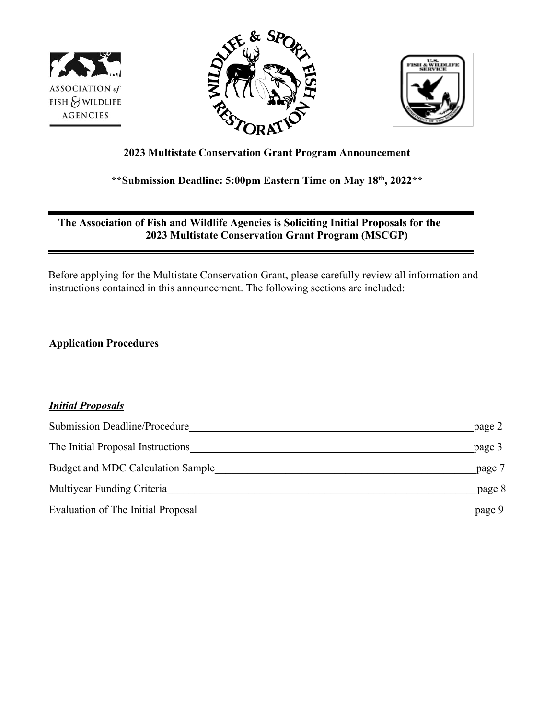





# **2023 Multistate Conservation Grant Program Announcement**

# **\*\*Submission Deadline: 5:00pm Eastern Time on May 18th, 2022\*\***

## **The Association of Fish and Wildlife Agencies is Soliciting Initial Proposals for the 2023 Multistate Conservation Grant Program (MSCGP)**

Before applying for the Multistate Conservation Grant, please carefully review all information and instructions contained in this announcement. The following sections are included:

**Application Procedures** 

# *Initial Proposals*

| <b>Submission Deadline/Procedure</b> | page 2 |
|--------------------------------------|--------|
| The Initial Proposal Instructions    | page 3 |
| Budget and MDC Calculation Sample    | page 7 |
| Multiyear Funding Criteria           | page 8 |
| Evaluation of The Initial Proposal   | page 9 |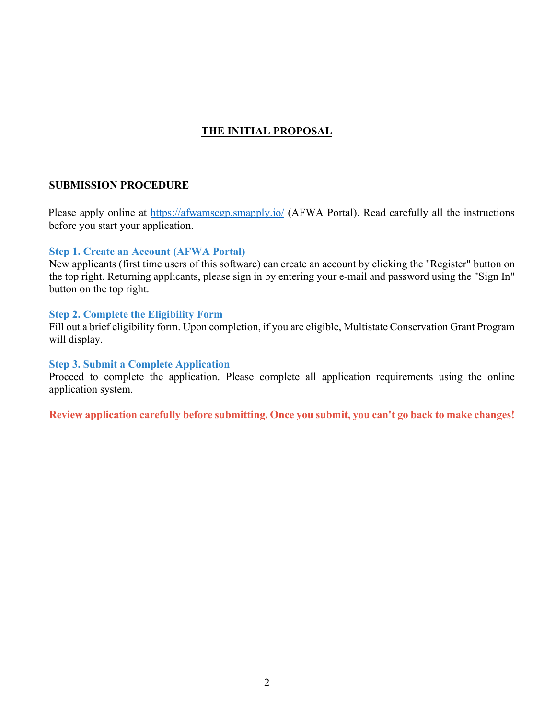## **THE INITIAL PROPOSAL**

#### **SUBMISSION PROCEDURE**

Please apply online at<https://afwamscgp.smapply.io/> (AFWA Portal). Read carefully all the instructions before you start your application.

#### **Step 1. Create an Account (AFWA Portal)**

New applicants (first time users of this software) can create an account by clicking the "Register" button on the top right. Returning applicants, please sign in by entering your e-mail and password using the "Sign In" button on the top right.

#### **Step 2. Complete the Eligibility Form**

Fill out a brief eligibility form. Upon completion, if you are eligible, Multistate Conservation Grant Program will display.

#### **Step 3. Submit a Complete Application**

Proceed to complete the application. Please complete all application requirements using the online application system.

**Review application carefully before submitting. Once you submit, you can't go back to make changes!**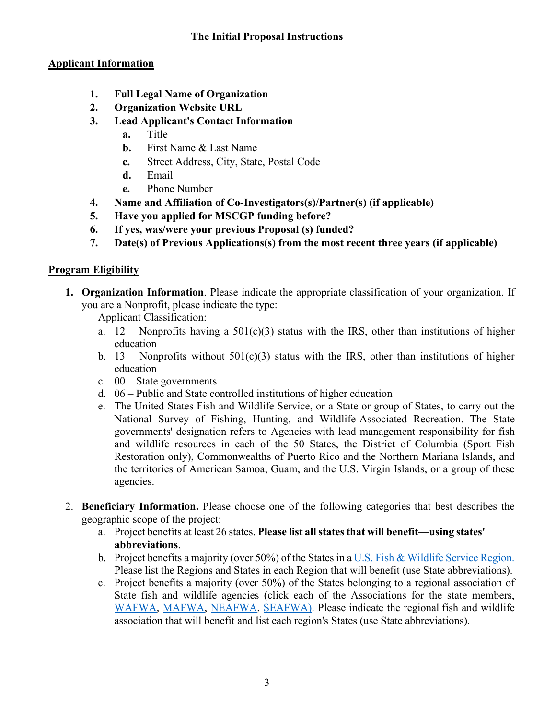# **The Initial Proposal Instructions**

# **Applicant Information**

- **1. Full Legal Name of Organization**
- **2. Organization Website URL**
- **3. Lead Applicant's Contact Information** 
	- **a.** Title
	- **b.** First Name & Last Name
	- **c.** Street Address, City, State, Postal Code
	- **d.** Email
	- **e.** Phone Number
- **4. Name and Affiliation of Co-Investigators(s)/Partner(s) (if applicable)**
- **5. Have you applied for MSCGP funding before?**
- **6. If yes, was/were your previous Proposal (s) funded?**
- **7. Date(s) of Previous Applications(s) from the most recent three years (if applicable)**

# **Program Eligibility**

**1. Organization Information**. Please indicate the appropriate classification of your organization. If you are a Nonprofit, please indicate the type:

Applicant Classification:

- a.  $12$  Nonprofits having a 501(c)(3) status with the IRS, other than institutions of higher education
- b. 13 Nonprofits without  $501(c)(3)$  status with the IRS, other than institutions of higher education
- c.  $00 State$  governments
- d. 06 Public and State controlled institutions of higher education
- e. The United States Fish and Wildlife Service, or a State or group of States, to carry out the National Survey of Fishing, Hunting, and Wildlife-Associated Recreation. The State governments' designation refers to Agencies with lead management responsibility for fish and wildlife resources in each of the 50 States, the District of Columbia (Sport Fish Restoration only), Commonwealths of Puerto Rico and the Northern Mariana Islands, and the territories of American Samoa, Guam, and the U.S. Virgin Islands, or a group of these agencies.
- 2. **Beneficiary Information.** Please choose one of the following categories that best describes the geographic scope of the project:
	- a. Project benefits at least 26 states. **Please list all states that will benefit—using states' abbreviations**.
	- b. Project benefits a majority (over 50%) of the States in a [U.S. Fish & Wildlife Service Region.](https://nctc.fws.gov/courses/csp/csp3115/resources/ESA_Folder/Regional_Offices5_04.pdf) Please list the Regions and States in each Region that will benefit (use State abbreviations).
	- c. Project benefits a majority (over 50%) of the States belonging to a regional association of State fish and wildlife agencies (click each of the Associations for the state members, [WAFWA,](https://www.wafwa.org/) [MAFWA,](http://www.mafwa.org/wp-content/uploads/2011/06/MAFWA_Map_11.jpg) [NEAFWA,](https://www.neafwa.org/members.html) [SEAFWA\)](http://www.seafwa.org/). Please indicate the regional fish and wildlife association that will benefit and list each region's States (use State abbreviations).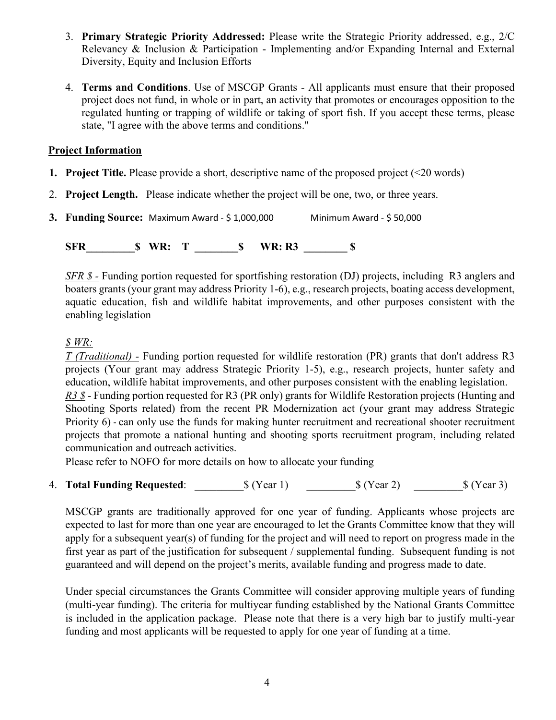- 3. **Primary Strategic Priority Addressed:** Please write the Strategic Priority addressed, e.g., 2/C Relevancy & Inclusion & Participation - Implementing and/or Expanding Internal and External Diversity, Equity and Inclusion Efforts
- 4. **Terms and Conditions**. Use of MSCGP Grants All applicants must ensure that their proposed project does not fund, in whole or in part, an activity that promotes or encourages opposition to the regulated hunting or trapping of wildlife or taking of sport fish. If you accept these terms, please state, "I agree with the above terms and conditions."

### **Project Information**

- **1. Project Title.** Please provide a short, descriptive name of the proposed project (<20 words)
- 2. **Project Length.** Please indicate whether the project will be one, two, or three years.

**3. Funding Source:** Maximum Award - \$ 1,000,000 Minimum Award - \$ 50,000

**SFR S** WR: T **S** WR: R3 **\$** 

*SFR \$* - Funding portion requested for sportfishing restoration (DJ) projects, including R3 anglers and boaters grants (your grant may address Priority 1-6), e.g., research projects, boating access development, aquatic education, fish and wildlife habitat improvements, and other purposes consistent with the enabling legislation

# *\$ WR:*

*T (Traditional) -* Funding portion requested for wildlife restoration (PR) grants that don't address R3 projects (Your grant may address Strategic Priority 1-5), e.g., research projects, hunter safety and education, wildlife habitat improvements, and other purposes consistent with the enabling legislation.

*R3 \$* - Funding portion requested for R3 (PR only) grants for Wildlife Restoration projects (Hunting and Shooting Sports related) from the recent PR Modernization act (your grant may address Strategic Priority 6) - can only use the funds for making hunter recruitment and recreational shooter recruitment projects that promote a national hunting and shooting sports recruitment program, including related communication and outreach activities.

Please refer to NOFO for more details on how to allocate your funding

4. **Total Funding Requested**:  $\text{S (Year 1)}$   $\text{S (Year 2)}$   $\text{S (Year 3)}$ 

MSCGP grants are traditionally approved for one year of funding. Applicants whose projects are expected to last for more than one year are encouraged to let the Grants Committee know that they will apply for a subsequent year(s) of funding for the project and will need to report on progress made in the first year as part of the justification for subsequent / supplemental funding. Subsequent funding is not guaranteed and will depend on the project's merits, available funding and progress made to date.

Under special circumstances the Grants Committee will consider approving multiple years of funding (multi-year funding). The criteria for multiyear funding established by the National Grants Committee is included in the application package. Please note that there is a very high bar to justify multi-year funding and most applicants will be requested to apply for one year of funding at a time.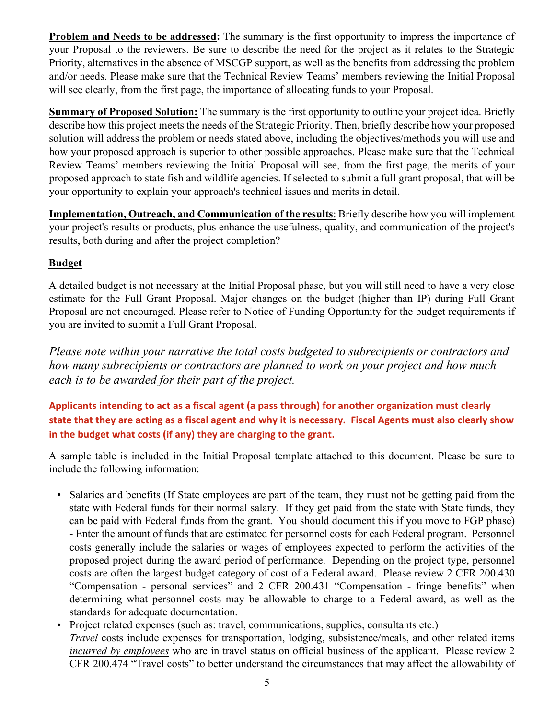**Problem and Needs to be addressed:** The summary is the first opportunity to impress the importance of your Proposal to the reviewers. Be sure to describe the need for the project as it relates to the Strategic Priority, alternatives in the absence of MSCGP support, as well as the benefits from addressing the problem and/or needs. Please make sure that the Technical Review Teams' members reviewing the Initial Proposal will see clearly, from the first page, the importance of allocating funds to your Proposal.

**Summary of Proposed Solution:** The summary is the first opportunity to outline your project idea. Briefly describe how this project meets the needs of the Strategic Priority. Then, briefly describe how your proposed solution will address the problem or needs stated above, including the objectives/methods you will use and how your proposed approach is superior to other possible approaches. Please make sure that the Technical Review Teams' members reviewing the Initial Proposal will see, from the first page, the merits of your proposed approach to state fish and wildlife agencies. If selected to submit a full grant proposal, that will be your opportunity to explain your approach's technical issues and merits in detail.

**Implementation, Outreach, and Communication of the results**: Briefly describe how you will implement your project's results or products, plus enhance the usefulness, quality, and communication of the project's results, both during and after the project completion?

# **Budget**

A detailed budget is not necessary at the Initial Proposal phase, but you will still need to have a very close estimate for the Full Grant Proposal. Major changes on the budget (higher than IP) during Full Grant Proposal are not encouraged. Please refer to Notice of Funding Opportunity for the budget requirements if you are invited to submit a Full Grant Proposal.

*Please note within your narrative the total costs budgeted to subrecipients or contractors and how many subrecipients or contractors are planned to work on your project and how much each is to be awarded for their part of the project.*

# **Applicants intending to act as a fiscal agent (a pass through) for another organization must clearly state that they are acting as a fiscal agent and why it is necessary. Fiscal Agents must also clearly show in the budget what costs (if any) they are charging to the grant.**

A sample table is included in the Initial Proposal template attached to this document. Please be sure to include the following information:

- Salaries and benefits (If State employees are part of the team, they must not be getting paid from the state with Federal funds for their normal salary. If they get paid from the state with State funds, they can be paid with Federal funds from the grant. You should document this if you move to FGP phase) - Enter the amount of funds that are estimated for personnel costs for each Federal program. Personnel costs generally include the salaries or wages of employees expected to perform the activities of the proposed project during the award period of performance. Depending on the project type, personnel costs are often the largest budget category of cost of a Federal award. Please review 2 CFR 200.430 "Compensation - personal services" and 2 CFR 200.431 "Compensation - fringe benefits" when determining what personnel costs may be allowable to charge to a Federal award, as well as the standards for adequate documentation.
- Project related expenses (such as: travel, communications, supplies, consultants etc.) *Travel* costs include expenses for transportation, lodging, subsistence/meals, and other related items *incurred by employees* who are in travel status on official business of the applicant. Please review 2 CFR 200.474 "Travel costs" to better understand the circumstances that may affect the allowability of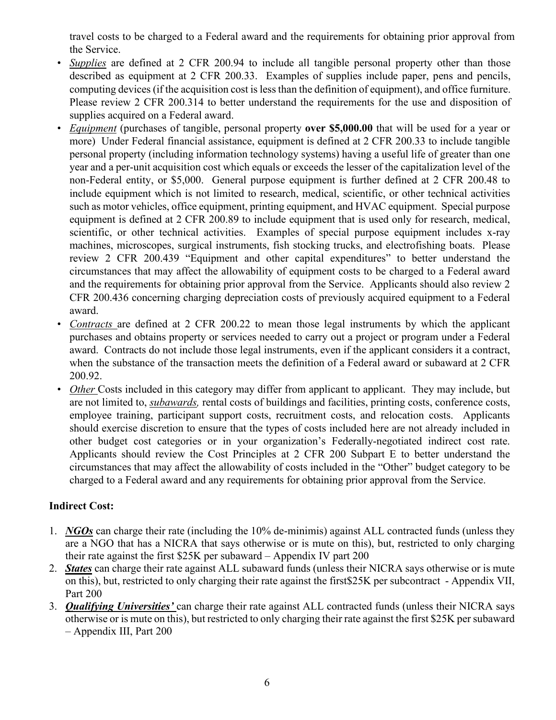travel costs to be charged to a Federal award and the requirements for obtaining prior approval from the Service.

- *Supplies* are defined at 2 CFR 200.94 to include all tangible personal property other than those described as equipment at 2 CFR 200.33. Examples of supplies include paper, pens and pencils, computing devices (if the acquisition cost is less than the definition of equipment), and office furniture. Please review 2 CFR 200.314 to better understand the requirements for the use and disposition of supplies acquired on a Federal award.
- *Equipment* (purchases of tangible, personal property **over \$5,000.00** that will be used for a year or more) Under Federal financial assistance, equipment is defined at 2 CFR 200.33 to include tangible personal property (including information technology systems) having a useful life of greater than one year and a per-unit acquisition cost which equals or exceeds the lesser of the capitalization level of the non-Federal entity, or \$5,000. General purpose equipment is further defined at 2 CFR 200.48 to include equipment which is not limited to research, medical, scientific, or other technical activities such as motor vehicles, office equipment, printing equipment, and HVAC equipment. Special purpose equipment is defined at 2 CFR 200.89 to include equipment that is used only for research, medical, scientific, or other technical activities. Examples of special purpose equipment includes x-ray machines, microscopes, surgical instruments, fish stocking trucks, and electrofishing boats. Please review 2 CFR 200.439 "Equipment and other capital expenditures" to better understand the circumstances that may affect the allowability of equipment costs to be charged to a Federal award and the requirements for obtaining prior approval from the Service. Applicants should also review 2 CFR 200.436 concerning charging depreciation costs of previously acquired equipment to a Federal award.
- *Contracts* are defined at 2 CFR 200.22 to mean those legal instruments by which the applicant purchases and obtains property or services needed to carry out a project or program under a Federal award. Contracts do not include those legal instruments, even if the applicant considers it a contract, when the substance of the transaction meets the definition of a Federal award or subaward at 2 CFR 200.92.
- *Other* Costs included in this category may differ from applicant to applicant. They may include, but are not limited to, *subawards,* rental costs of buildings and facilities, printing costs, conference costs, employee training, participant support costs, recruitment costs, and relocation costs. Applicants should exercise discretion to ensure that the types of costs included here are not already included in other budget cost categories or in your organization's Federally-negotiated indirect cost rate. Applicants should review the Cost Principles at 2 CFR 200 Subpart E to better understand the circumstances that may affect the allowability of costs included in the "Other" budget category to be charged to a Federal award and any requirements for obtaining prior approval from the Service.

# **Indirect Cost:**

- 1. *NGOs* can charge their rate (including the 10% de-minimis) against ALL contracted funds (unless they are a NGO that has a NICRA that says otherwise or is mute on this), but, restricted to only charging their rate against the first \$25K per subaward – Appendix IV part 200
- 2. *States* can charge their rate against ALL subaward funds (unless their NICRA says otherwise or is mute on this), but, restricted to only charging their rate against the first\$25K per subcontract - Appendix VII, Part 200
- 3. *Qualifying Universities'* can charge their rate against ALL contracted funds (unless their NICRA says otherwise or is mute on this), but restricted to only charging their rate against the first \$25K per subaward – Appendix III, Part 200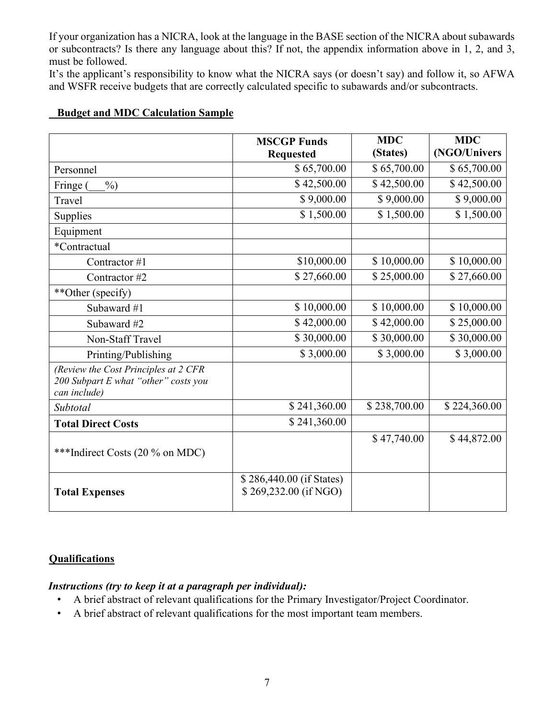If your organization has a NICRA, look at the language in the BASE section of the NICRA about subawards or subcontracts? Is there any language about this? If not, the appendix information above in 1, 2, and 3, must be followed.

It's the applicant's responsibility to know what the NICRA says (or doesn't say) and follow it, so AFWA and WSFR receive budgets that are correctly calculated specific to subawards and/or subcontracts.

|                                                                                              | <b>MSCGP Funds</b><br><b>Requested</b>            | <b>MDC</b><br>(States) | <b>MDC</b><br>(NGO/Univers |
|----------------------------------------------------------------------------------------------|---------------------------------------------------|------------------------|----------------------------|
| Personnel                                                                                    | \$65,700.00                                       | \$65,700.00            | \$65,700.00                |
| $\%$<br>Fringe (                                                                             | \$42,500.00                                       | \$42,500.00            | \$42,500.00                |
| Travel                                                                                       | \$9,000.00                                        | \$9,000.00             | \$9,000.00                 |
| Supplies                                                                                     | \$1,500.00                                        | \$1,500.00             | \$1,500.00                 |
| Equipment                                                                                    |                                                   |                        |                            |
| *Contractual                                                                                 |                                                   |                        |                            |
| Contractor #1                                                                                | \$10,000.00                                       | \$10,000.00            | \$10,000.00                |
| Contractor #2                                                                                | \$27,660.00                                       | \$25,000.00            | \$27,660.00                |
| **Other (specify)                                                                            |                                                   |                        |                            |
| Subaward #1                                                                                  | \$10,000.00                                       | \$10,000.00            | \$10,000.00                |
| Subaward #2                                                                                  | \$42,000.00                                       | \$42,000.00            | \$25,000.00                |
| Non-Staff Travel                                                                             | \$30,000.00                                       | \$30,000.00            | \$30,000.00                |
| Printing/Publishing                                                                          | \$3,000.00                                        | \$3,000.00             | \$3,000.00                 |
| (Review the Cost Principles at 2 CFR<br>200 Subpart E what "other" costs you<br>can include) |                                                   |                        |                            |
| Subtotal                                                                                     | \$241,360.00                                      | \$238,700.00           | \$224,360.00               |
| <b>Total Direct Costs</b>                                                                    | \$241,360.00                                      |                        |                            |
| ***Indirect Costs (20 % on MDC)                                                              |                                                   | \$47,740.00            | \$44,872.00                |
| <b>Total Expenses</b>                                                                        | \$286,440.00 (if States)<br>\$269,232.00 (if NGO) |                        |                            |

## **Budget and MDC Calculation Sample**

### **Qualifications**

### *Instructions (try to keep it at a paragraph per individual):*

- A brief abstract of relevant qualifications for the Primary Investigator/Project Coordinator.
- A brief abstract of relevant qualifications for the most important team members.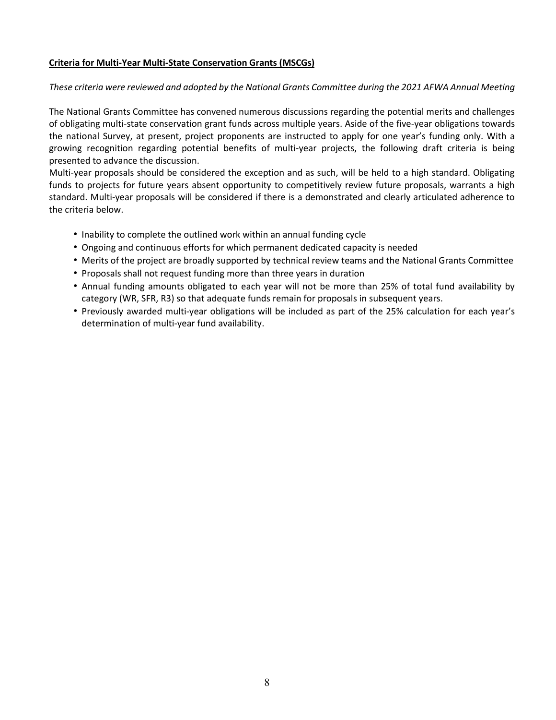#### **Criteria for Multi-Year Multi-State Conservation Grants (MSCGs)**

#### *These criteria were reviewed and adopted by the National Grants Committee during the 2021 AFWA Annual Meeting*

The National Grants Committee has convened numerous discussions regarding the potential merits and challenges of obligating multi-state conservation grant funds across multiple years. Aside of the five-year obligations towards the national Survey, at present, project proponents are instructed to apply for one year's funding only. With a growing recognition regarding potential benefits of multi-year projects, the following draft criteria is being presented to advance the discussion.

Multi-year proposals should be considered the exception and as such, will be held to a high standard. Obligating funds to projects for future years absent opportunity to competitively review future proposals, warrants a high standard. Multi-year proposals will be considered if there is a demonstrated and clearly articulated adherence to the criteria below.

- Inability to complete the outlined work within an annual funding cycle
- Ongoing and continuous efforts for which permanent dedicated capacity is needed
- Merits of the project are broadly supported by technical review teams and the National Grants Committee
- Proposals shall not request funding more than three years in duration
- Annual funding amounts obligated to each year will not be more than 25% of total fund availability by category (WR, SFR, R3) so that adequate funds remain for proposals in subsequent years.
- Previously awarded multi-year obligations will be included as part of the 25% calculation for each year's determination of multi-year fund availability.